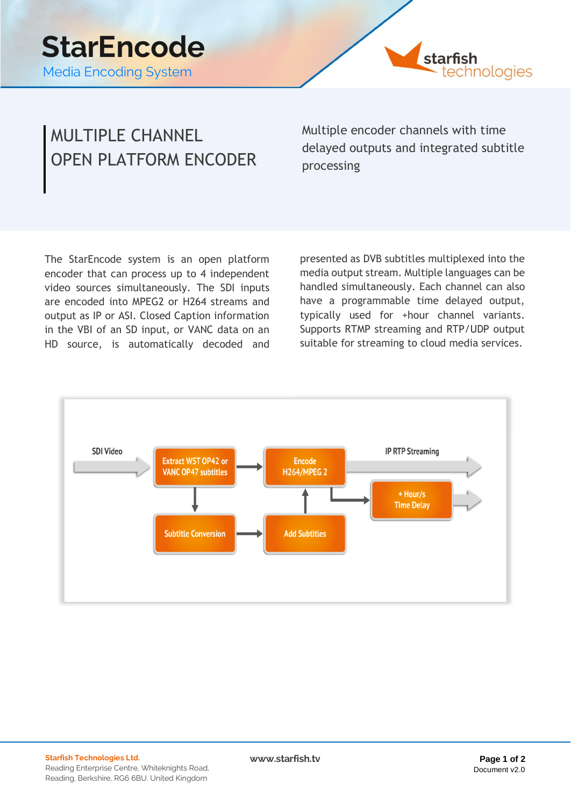

### MULTIPLE CHANNEL OPEN PLATFORM ENCODER

Multiple encoder channels with time delayed outputs and integrated subtitle processing

The StarEncode system is an open platform encoder that can process up to 4 independent video sources simultaneously. The SDI inputs are encoded into MPEG2 or H264 streams and output as IP or ASI. Closed Caption information in the VBI of an SD input, or VANC data on an HD source, is automatically decoded and

presented as DVB subtitles multiplexed into the media output stream. Multiple languages can be handled simultaneously. Each channel can also have a programmable time delayed output, typically used for +hour channel variants. Supports RTMP streaming and RTP/UDP output suitable for streaming to cloud media services.



 $www.starfish.tv$